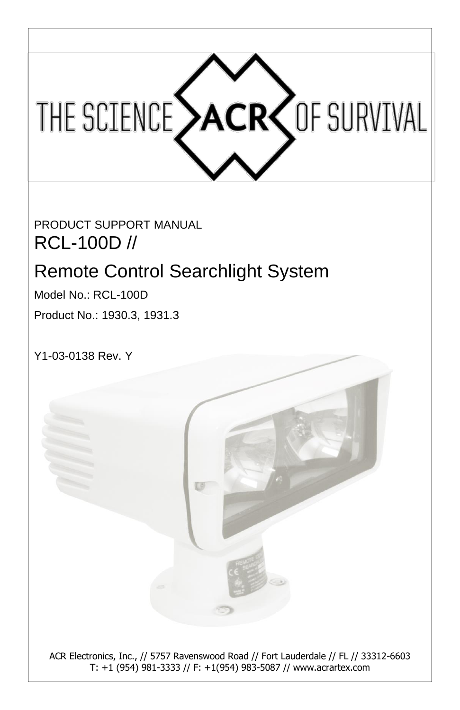

PRODUCT SUPPORT MANUAL RCL-100D //

# Remote Control Searchlight System

Model No.: RCL-100D Product No.: 1930.3, 1931.3

Y1-03-0138 Rev. Y



T: +1 (954) 981-3333 // F: +1(954) 983-5087 // www.acrartex.com ACR Electronics, Inc., // 5757 Ravenswood Road // Fort Lauderdale // FL // 33312-6603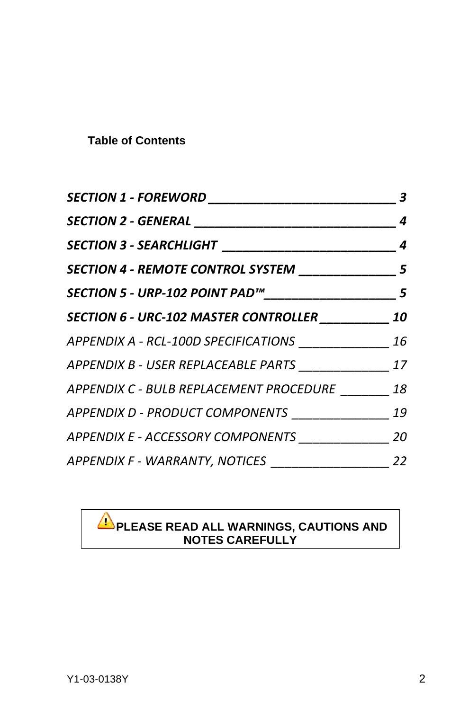#### **Table of Contents**

| SECTION 1 - FOREWORD ____________                        | 3  |
|----------------------------------------------------------|----|
| SECTION 2 - GENERAL ___________________________________  | 4  |
|                                                          |    |
| SECTION 4 - REMOTE CONTROL SYSTEM _______________ 5      |    |
|                                                          | 5  |
| SECTION 6 - URC-102 MASTER CONTROLLER                    | 10 |
| APPENDIX A - RCL-100D SPECIFICATIONS ______________ 16   |    |
| APPENDIX B - USER REPLACEABLE PARTS _________________ 17 |    |
| APPENDIX C - BULB REPLACEMENT PROCEDURE 18               |    |
| APPENDIX D - PRODUCT COMPONENTS ____________             | 19 |
| APPENDIX E - ACCESSORY COMPONENTS                        | 20 |
| APPENDIX F - WARRANTY, NOTICES ________________          | 22 |

#### **PLEASE READ ALL WARNINGS, CAUTIONS AND NOTES CAREFULLY**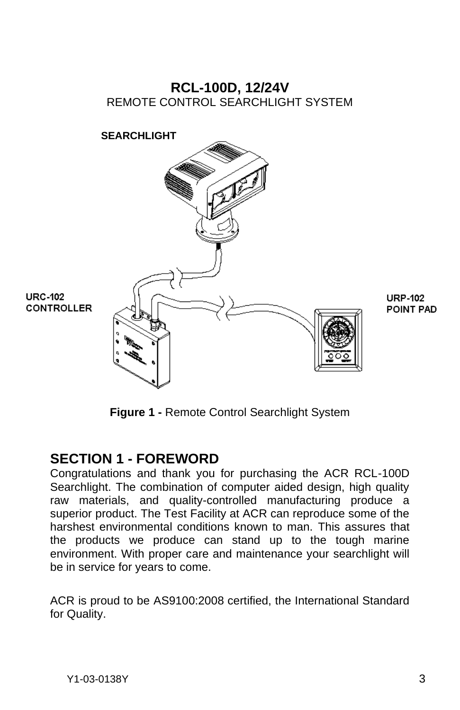### **RCL-100D, 12/24V** REMOTE CONTROL SEARCHLIGHT SYSTEM



**Figure 1 -** Remote Control Searchlight System

### <span id="page-2-0"></span>**SECTION 1 - FOREWORD**

Congratulations and thank you for purchasing the ACR RCL-100D Searchlight. The combination of computer aided design, high quality raw materials, and quality-controlled manufacturing produce a superior product. The Test Facility at ACR can reproduce some of the harshest environmental conditions known to man. This assures that the products we produce can stand up to the tough marine environment. With proper care and maintenance your searchlight will be in service for years to come.

ACR is proud to be AS9100:2008 certified, the International Standard for Quality.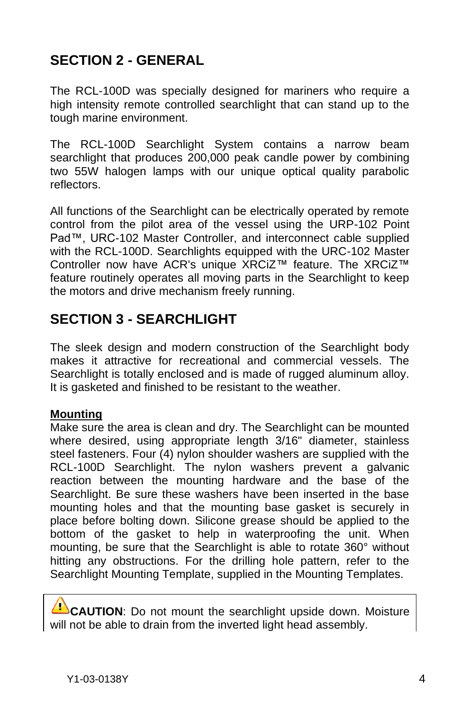# <span id="page-3-0"></span>**SECTION 2 - GENERAL**

The RCL-100D was specially designed for mariners who require a high intensity remote controlled searchlight that can stand up to the tough marine environment.

The RCL-100D Searchlight System contains a narrow beam searchlight that produces 200,000 peak candle power by combining two 55W halogen lamps with our unique optical quality parabolic reflectors.

All functions of the Searchlight can be electrically operated by remote control from the pilot area of the vessel using the URP-102 Point Pad™, URC-102 Master Controller, and interconnect cable supplied with the RCL-100D. Searchlights equipped with the URC-102 Master Controller now have ACR's unique XRCiZ™ feature. The XRCiZ™ feature routinely operates all moving parts in the Searchlight to keep the motors and drive mechanism freely running.

### <span id="page-3-1"></span>**SECTION 3 - SEARCHLIGHT**

The sleek design and modern construction of the Searchlight body makes it attractive for recreational and commercial vessels. The Searchlight is totally enclosed and is made of rugged aluminum alloy. It is gasketed and finished to be resistant to the weather.

#### **Mounting**

Make sure the area is clean and dry. The Searchlight can be mounted where desired, using appropriate length 3/16" diameter, stainless steel fasteners. Four (4) nylon shoulder washers are supplied with the RCL-100D Searchlight. The nylon washers prevent a galvanic reaction between the mounting hardware and the base of the Searchlight. Be sure these washers have been inserted in the base mounting holes and that the mounting base gasket is securely in place before bolting down. Silicone grease should be applied to the bottom of the gasket to help in waterproofing the unit. When mounting, be sure that the Searchlight is able to rotate 360° without hitting any obstructions. For the drilling hole pattern, refer to the Searchlight Mounting Template, supplied in the Mounting Templates.

**CAUTION**: Do not mount the searchlight upside down. Moisture will not be able to drain from the inverted light head assembly.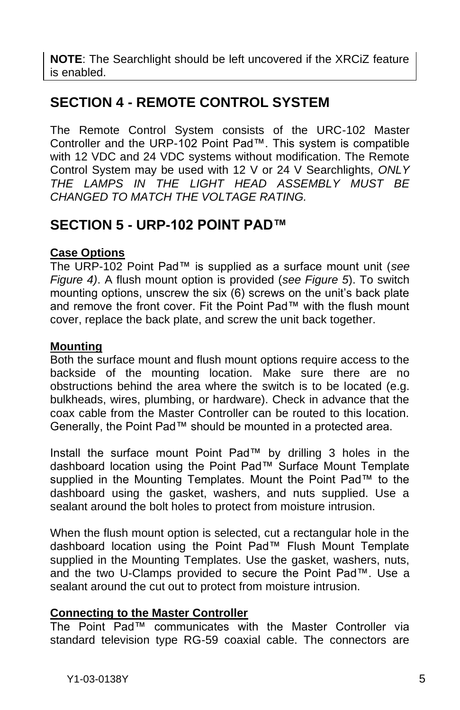**NOTE**: The Searchlight should be left uncovered if the XRCiZ feature is enabled.

### <span id="page-4-0"></span>**SECTION 4 - REMOTE CONTROL SYSTEM**

The Remote Control System consists of the URC-102 Master Controller and the URP-102 Point Pad™. This system is compatible with 12 VDC and 24 VDC systems without modification. The Remote Control System may be used with 12 V or 24 V Searchlights, *ONLY THE LAMPS IN THE LIGHT HEAD ASSEMBLY MUST BE CHANGED TO MATCH THE VOLTAGE RATING.*

### <span id="page-4-1"></span>**SECTION 5 - URP-102 POINT PAD™**

#### **Case Options**

The URP-102 Point Pad™ is supplied as a surface mount unit (*see Figure 4)*. A flush mount option is provided (*see Figure 5*). To switch mounting options, unscrew the six (6) screws on the unit's back plate and remove the front cover. Fit the Point Pad™ with the flush mount cover, replace the back plate, and screw the unit back together.

#### **Mounting**

Both the surface mount and flush mount options require access to the backside of the mounting location. Make sure there are no obstructions behind the area where the switch is to be located (e.g. bulkheads, wires, plumbing, or hardware). Check in advance that the coax cable from the Master Controller can be routed to this location. Generally, the Point Pad™ should be mounted in a protected area.

Install the surface mount Point Pad™ by drilling 3 holes in the dashboard location using the Point Pad™ Surface Mount Template supplied in the Mounting Templates. Mount the Point Pad™ to the dashboard using the gasket, washers, and nuts supplied. Use a sealant around the bolt holes to protect from moisture intrusion.

When the flush mount option is selected, cut a rectangular hole in the dashboard location using the Point Pad™ Flush Mount Template supplied in the Mounting Templates. Use the gasket, washers, nuts, and the two U-Clamps provided to secure the Point Pad™. Use a sealant around the cut out to protect from moisture intrusion.

#### **Connecting to the Master Controller**

The Point Pad™ communicates with the Master Controller via standard television type RG-59 coaxial cable. The connectors are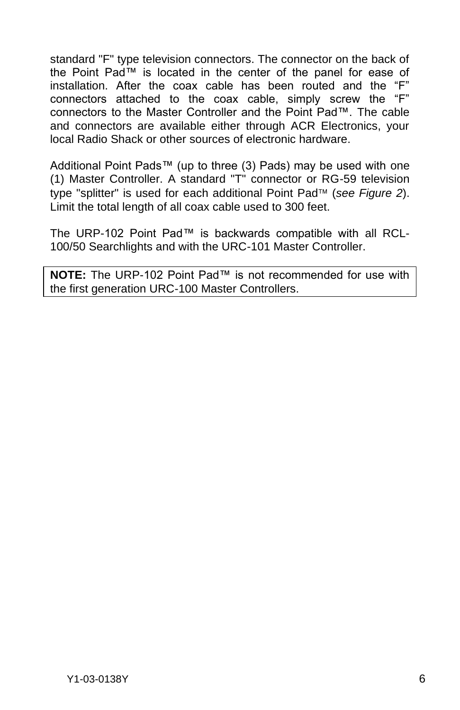standard "F" type television connectors. The connector on the back of the Point Pad™ is located in the center of the panel for ease of installation. After the coax cable has been routed and the "F" connectors attached to the coax cable, simply screw the "F" connectors to the Master Controller and the Point Pad™. The cable and connectors are available either through ACR Electronics, your local Radio Shack or other sources of electronic hardware.

Additional Point Pads™ (up to three (3) Pads) may be used with one (1) Master Controller. A standard "T" connector or RG-59 television type "splitter" is used for each additional Point Pad<sup>™</sup> (see Figure 2). Limit the total length of all coax cable used to 300 feet.

The URP-102 Point Pad™ is backwards compatible with all RCL-100/50 Searchlights and with the URC-101 Master Controller.

**NOTE:** The URP-102 Point Pad™ is not recommended for use with the first generation URC-100 Master Controllers.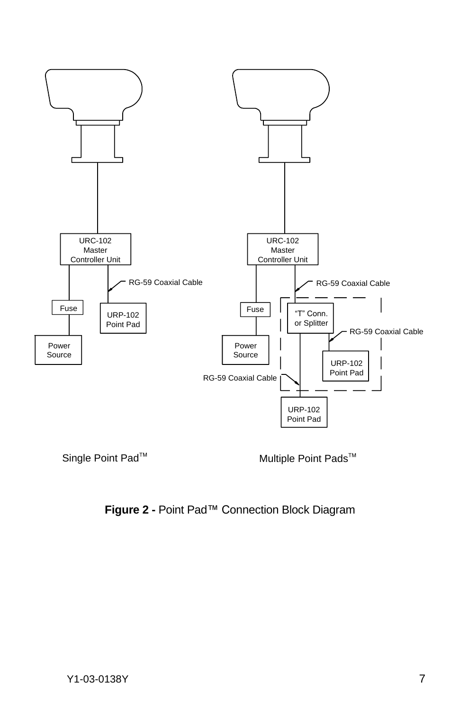

Single Point Pad<sup>™</sup> Multiple Point Pads<sup>™</sup>

#### **Figure 2 -** Point Pad™ Connection Block Diagram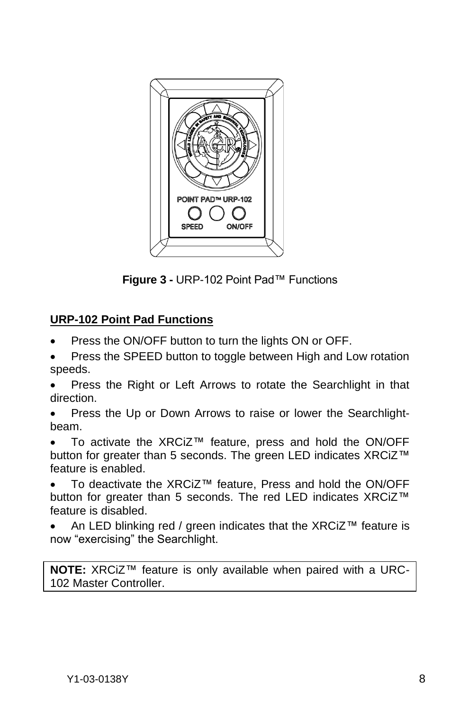

**Figure 3 -** URP-102 Point Pad™ Functions

### **URP-102 Point Pad Functions**

- Press the ON/OFF button to turn the lights ON or OFF.
- Press the SPEED button to toggle between High and Low rotation speeds.
- Press the Right or Left Arrows to rotate the Searchlight in that direction.
- Press the Up or Down Arrows to raise or lower the Searchlightbeam.
- To activate the XRCiZ™ feature, press and hold the ON/OFF button for greater than 5 seconds. The green LED indicates XRCiZ™ feature is enabled.
- To deactivate the XRCiZ™ feature, Press and hold the ON/OFF button for greater than 5 seconds. The red LED indicates XRCiZ™ feature is disabled.
- An LED blinking red / green indicates that the XRCiZ™ feature is now "exercising" the Searchlight.

**NOTE:** XRCiZ™ feature is only available when paired with a URC-102 Master Controller.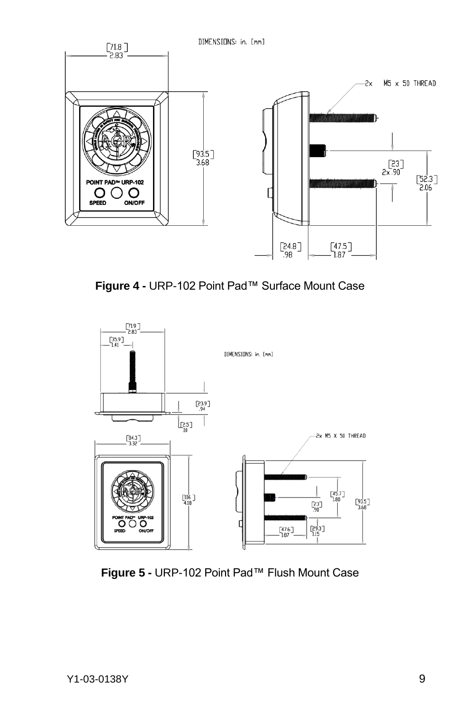

**Figure 4 -** URP-102 Point Pad™ Surface Mount Case



**Figure 5 -** URP-102 Point Pad™ Flush Mount Case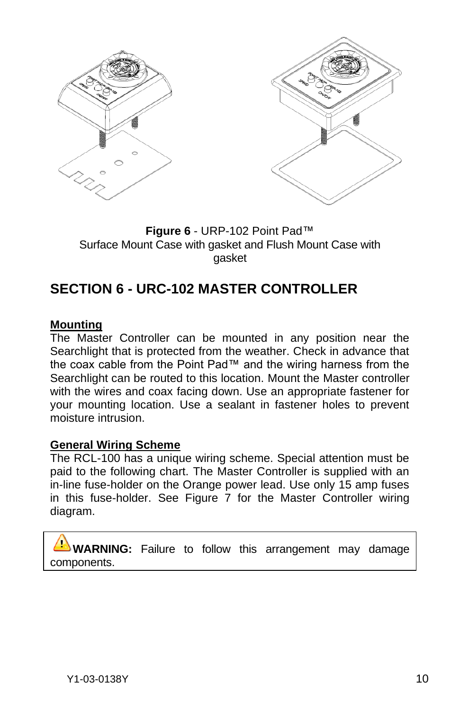

**Figure 6** - URP-102 Point Pad™ Surface Mount Case with gasket and Flush Mount Case with gasket

### <span id="page-9-0"></span>**SECTION 6 - URC-102 MASTER CONTROLLER**

#### **Mounting**

The Master Controller can be mounted in any position near the Searchlight that is protected from the weather. Check in advance that the coax cable from the Point Pad™ and the wiring harness from the Searchlight can be routed to this location. Mount the Master controller with the wires and coax facing down. Use an appropriate fastener for your mounting location. Use a sealant in fastener holes to prevent moisture intrusion.

#### **General Wiring Scheme**

The RCL-100 has a unique wiring scheme. Special attention must be paid to the following chart. The Master Controller is supplied with an in-line fuse-holder on the Orange power lead. Use only 15 amp fuses in this fuse-holder. See Figure 7 for the Master Controller wiring diagram.

**WARNING:** Failure to follow this arrangement may damage components.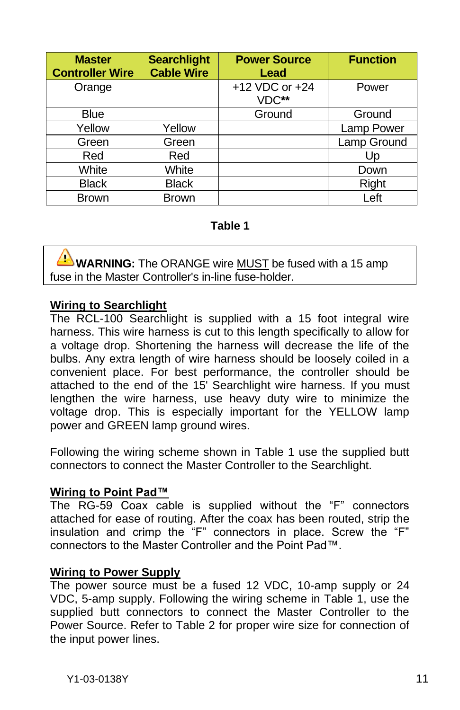| <b>Master</b><br><b>Controller Wire</b> | <b>Searchlight</b><br><b>Cable Wire</b> | <b>Power Source</b><br>Lead | <b>Function</b> |
|-----------------------------------------|-----------------------------------------|-----------------------------|-----------------|
| Orange                                  |                                         | +12 VDC or +24<br>VDC**     | Power           |
| Blue                                    |                                         | Ground                      | Ground          |
| Yellow                                  | Yellow                                  |                             | Lamp Power      |
| Green                                   | Green                                   |                             | Lamp Ground     |
| Red                                     | Red                                     |                             | Up              |
| White                                   | White                                   |                             | Down            |
| <b>Black</b>                            | <b>Black</b>                            |                             | Right           |
| <b>Brown</b>                            | <b>Brown</b>                            |                             | Left            |

#### **Table 1**

**WARNING:** The ORANGE wire MUST be fused with a 15 amp fuse in the Master Controller's in-line fuse-holder.

#### **Wiring to Searchlight**

The RCL-100 Searchlight is supplied with a 15 foot integral wire harness. This wire harness is cut to this length specifically to allow for a voltage drop. Shortening the harness will decrease the life of the bulbs. Any extra length of wire harness should be loosely coiled in a convenient place. For best performance, the controller should be attached to the end of the 15' Searchlight wire harness. If you must lengthen the wire harness, use heavy duty wire to minimize the voltage drop. This is especially important for the YELLOW lamp power and GREEN lamp ground wires.

Following the wiring scheme shown in Table 1 use the supplied butt connectors to connect the Master Controller to the Searchlight.

#### **Wiring to Point Pad™**

The RG-59 Coax cable is supplied without the "F" connectors attached for ease of routing. After the coax has been routed, strip the insulation and crimp the "F" connectors in place. Screw the "F" connectors to the Master Controller and the Point Pad™.

#### **Wiring to Power Supply**

The power source must be a fused 12 VDC, 10-amp supply or 24 VDC, 5-amp supply. Following the wiring scheme in Table 1, use the supplied butt connectors to connect the Master Controller to the Power Source. Refer to Table 2 for proper wire size for connection of the input power lines.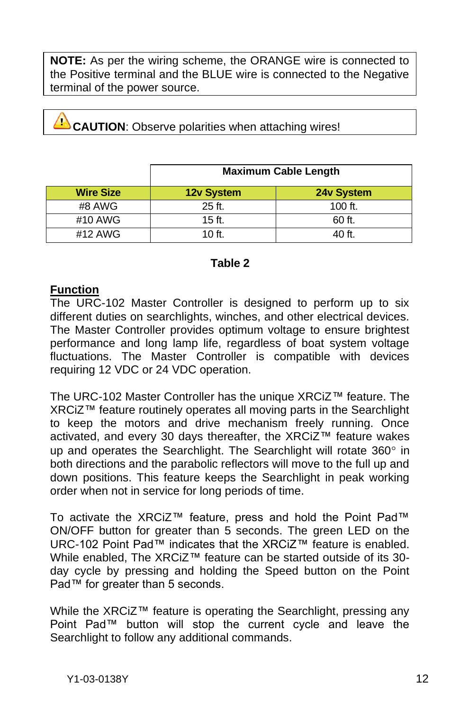**NOTE:** As per the wiring scheme, the ORANGE wire is connected to the Positive terminal and the BLUE wire is connected to the Negative terminal of the power source.

**CAUTION**: Observe polarities when attaching wires!

|                  | <b>Maximum Cable Length</b> |            |  |
|------------------|-----------------------------|------------|--|
| <b>Wire Size</b> | <b>12v System</b>           | 24v System |  |
| #8 AWG           | 25 ft.                      | 100 $ft.$  |  |
| #10 AWG          | $15$ ft.                    | 60 ft.     |  |
| #12 AWG          | $10$ ft.                    | 40 ft.     |  |

#### **Table 2**

#### **Function**

The URC-102 Master Controller is designed to perform up to six different duties on searchlights, winches, and other electrical devices. The Master Controller provides optimum voltage to ensure brightest performance and long lamp life, regardless of boat system voltage fluctuations. The Master Controller is compatible with devices requiring 12 VDC or 24 VDC operation.

The URC-102 Master Controller has the unique XRCiZ™ feature. The XRCiZ™ feature routinely operates all moving parts in the Searchlight to keep the motors and drive mechanism freely running. Once activated, and every 30 days thereafter, the XRCiZ™ feature wakes up and operates the Searchlight. The Searchlight will rotate  $360^\circ$  in both directions and the parabolic reflectors will move to the full up and down positions. This feature keeps the Searchlight in peak working order when not in service for long periods of time.

To activate the XRCiZ™ feature, press and hold the Point Pad™ ON/OFF button for greater than 5 seconds. The green LED on the URC-102 Point Pad™ indicates that the XRCiZ™ feature is enabled. While enabled, The XRCiZ™ feature can be started outside of its 30 day cycle by pressing and holding the Speed button on the Point Pad™ for greater than 5 seconds.

While the XRCiZ™ feature is operating the Searchlight, pressing any Point Pad™ button will stop the current cycle and leave the Searchlight to follow any additional commands.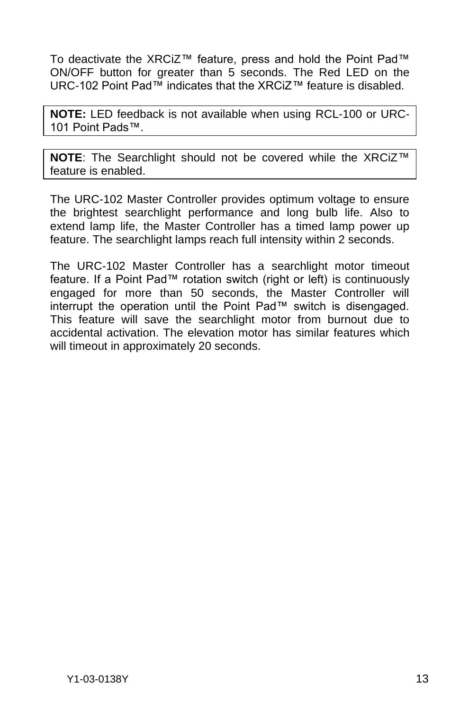To deactivate the XRCiZ™ feature, press and hold the Point Pad™ ON/OFF button for greater than 5 seconds. The Red LED on the URC-102 Point Pad™ indicates that the XRCiZ™ feature is disabled.

**NOTE:** LED feedback is not available when using RCL-100 or URC-101 Point Pads™.

**NOTE**: The Searchlight should not be covered while the XRCiZ™ feature is enabled.

The URC-102 Master Controller provides optimum voltage to ensure the brightest searchlight performance and long bulb life. Also to extend lamp life, the Master Controller has a timed lamp power up feature. The searchlight lamps reach full intensity within 2 seconds.

The URC-102 Master Controller has a searchlight motor timeout feature. If a Point Pad™ rotation switch (right or left) is continuously engaged for more than 50 seconds, the Master Controller will interrupt the operation until the Point Pad™ switch is disengaged. This feature will save the searchlight motor from burnout due to accidental activation. The elevation motor has similar features which will timeout in approximately 20 seconds.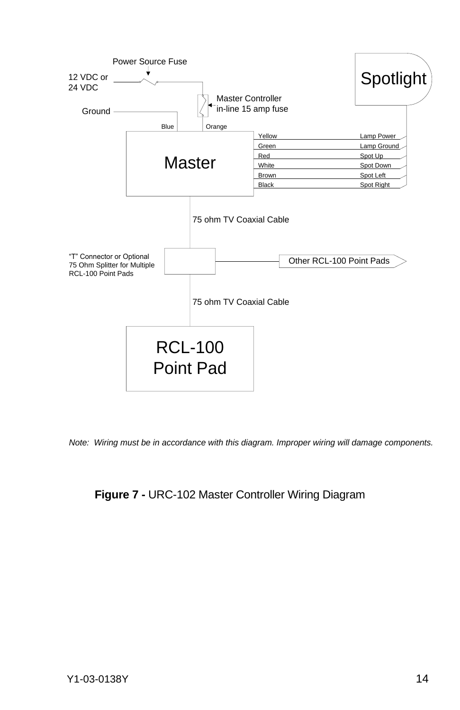

*Note: Wiring must be in accordance with this diagram. Improper wiring will damage components.*

#### **Figure 7 -** URC-102 Master Controller Wiring Diagram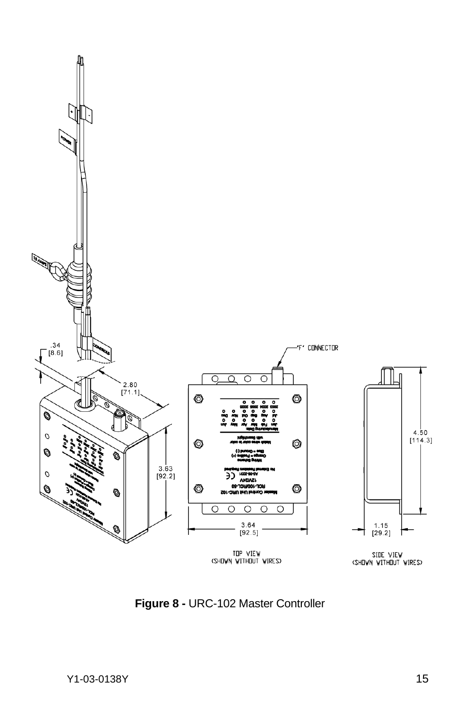

**Figure 8 -** URC-102 Master Controller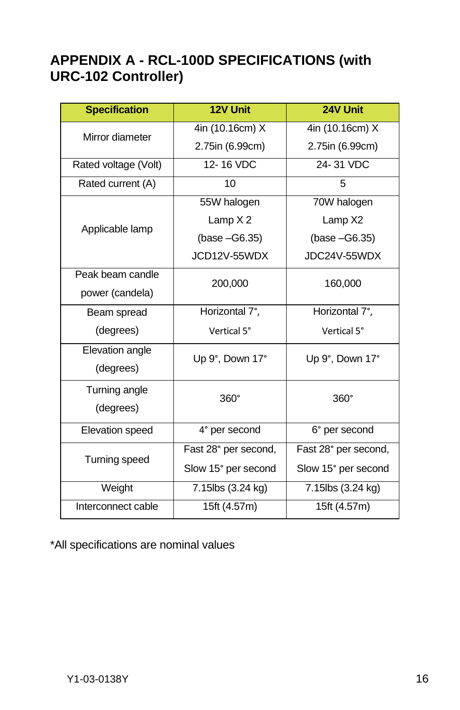### <span id="page-15-0"></span>**APPENDIX A - RCL-100D SPECIFICATIONS (with URC-102 Controller)**

| <b>Specification</b> | 12V Unit             | 24V Unit             |
|----------------------|----------------------|----------------------|
| Mirror diameter      | 4in (10.16cm) X      | 4in (10.16cm) X      |
|                      | 2.75in (6.99cm)      | 2.75in (6.99cm)      |
| Rated voltage (Volt) | 12-16 VDC            | 24-31 VDC            |
| Rated current (A)    | 10                   | 5                    |
|                      | 55W halogen          | 70W halogen          |
|                      | Lamp $X2$            | Lamp X2              |
| Applicable lamp      | $(base - G6.35)$     | $(base - G6.35)$     |
|                      | JCD12V-55WDX         | JDC24V-55WDX         |
| Peak beam candle     | 200,000              | 160,000              |
| power (candela)      |                      |                      |
| Beam spread          | Horizontal 7°,       | Horizontal 7°,       |
| (degrees)            | Vertical 5°          | Vertical 5°          |
| Elevation angle      | Up 9°, Down 17°      | Up 9°, Down 17°      |
| (degrees)            |                      |                      |
| Turning angle        | $360^\circ$          | 360°                 |
| (degrees)            |                      |                      |
| Elevation speed      | 4° per second        | 6° per second        |
|                      | Fast 28° per second, | Fast 28° per second, |
| Turning speed        | Slow 15° per second  | Slow 15° per second  |
| Weight               | 7.15lbs (3.24 kg)    | 7.15lbs (3.24 kg)    |
| Interconnect cable   | 15ft (4.57m)         | 15ft(4.57m)          |

\*All specifications are nominal values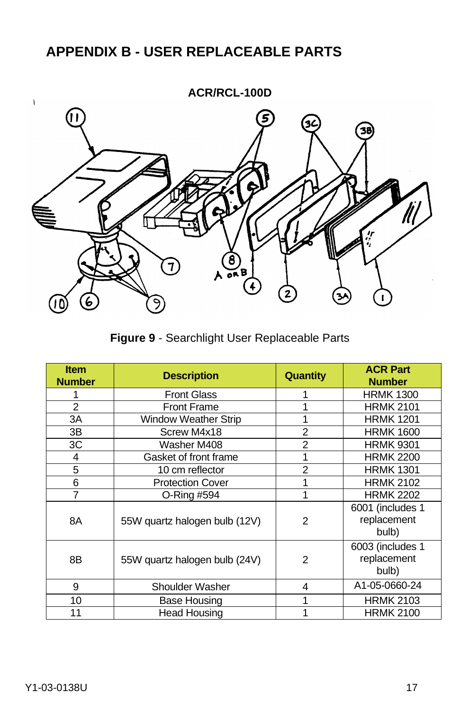# <span id="page-16-0"></span>**APPENDIX B - USER REPLACEABLE PARTS**



**Figure 9** - Searchlight User Replaceable Parts

| <b>Item</b><br><b>Number</b> | <b>Description</b>            | <b>Quantity</b> | <b>ACR Part</b><br><b>Number</b>         |
|------------------------------|-------------------------------|-----------------|------------------------------------------|
|                              | <b>Front Glass</b>            | 1               | <b>HRMK 1300</b>                         |
| $\overline{2}$               | <b>Front Frame</b>            | 1               | <b>HRMK 2101</b>                         |
| 3A                           | <b>Window Weather Strip</b>   |                 | <b>HRMK 1201</b>                         |
| 3B                           | Screw M4x18                   | $\overline{2}$  | <b>HRMK 1600</b>                         |
| 3C                           | Washer M408                   | 2               | <b>HRMK 9301</b>                         |
| 4                            | Gasket of front frame         |                 | <b>HRMK 2200</b>                         |
| 5                            | 10 cm reflector               | $\overline{2}$  | <b>HRMK 1301</b>                         |
| 6                            | <b>Protection Cover</b>       | 1               | <b>HRMK 2102</b>                         |
| 7                            | O-Ring #594                   | 1               | <b>HRMK 2202</b>                         |
| 8A                           | 55W quartz halogen bulb (12V) | 2               | 6001 (includes 1<br>replacement<br>bulb) |
| 8B                           | 55W quartz halogen bulb (24V) | 2               | 6003 (includes 1<br>replacement<br>bulb) |
| 9                            | Shoulder Washer               | 4               | A1-05-0660-24                            |
| 10                           | Base Housing                  |                 | <b>HRMK 2103</b>                         |
| 11                           | Head Housing                  |                 | <b>HRMK 2100</b>                         |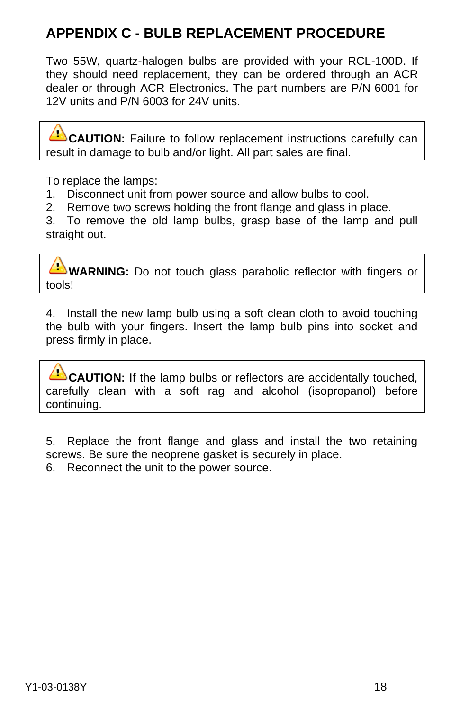# <span id="page-17-0"></span>**APPENDIX C - BULB REPLACEMENT PROCEDURE**

Two 55W, quartz-halogen bulbs are provided with your RCL-100D. If they should need replacement, they can be ordered through an ACR dealer or through ACR Electronics. The part numbers are P/N 6001 for 12V units and P/N 6003 for 24V units.

**CAUTION:** Failure to follow replacement instructions carefully can result in damage to bulb and/or light. All part sales are final.

To replace the lamps:

- 1. Disconnect unit from power source and allow bulbs to cool.
- 2. Remove two screws holding the front flange and glass in place.

3. To remove the old lamp bulbs, grasp base of the lamp and pull straight out.

**WARNING:** Do not touch glass parabolic reflector with fingers or tools!

4. Install the new lamp bulb using a soft clean cloth to avoid touching the bulb with your fingers. Insert the lamp bulb pins into socket and press firmly in place.

**CAUTION:** If the lamp bulbs or reflectors are accidentally touched, carefully clean with a soft rag and alcohol (isopropanol) before continuing.

5. Replace the front flange and glass and install the two retaining screws. Be sure the neoprene gasket is securely in place.

6. Reconnect the unit to the power source.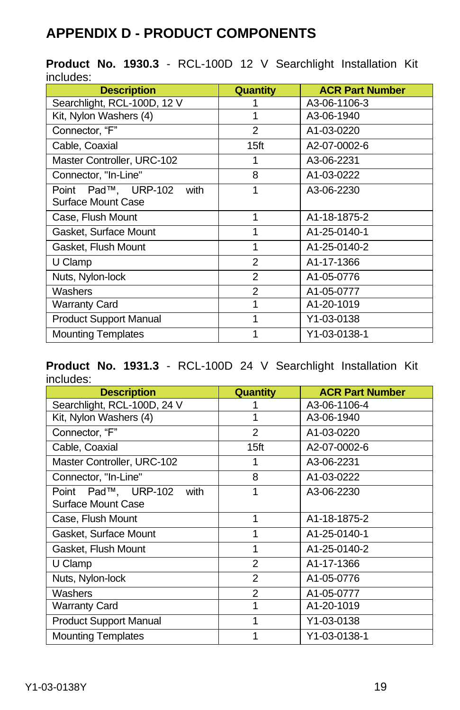# <span id="page-18-0"></span>**APPENDIX D - PRODUCT COMPONENTS**

|           |  |  | <b>Product No. 1930.3 - RCL-100D 12 V Searchlight Installation Kit</b> |  |
|-----------|--|--|------------------------------------------------------------------------|--|
| includes: |  |  |                                                                        |  |

| <b>Description</b>            | <b>Quantity</b>  | <b>ACR Part Number</b> |
|-------------------------------|------------------|------------------------|
| Searchlight, RCL-100D, 12 V   |                  | A3-06-1106-3           |
| Kit, Nylon Washers (4)        | 1                | A3-06-1940             |
| Connector, "F"                | 2                | A1-03-0220             |
| Cable, Coaxial                | 15 <sub>ft</sub> | A2-07-0002-6           |
| Master Controller, URC-102    | 1                | A3-06-2231             |
| Connector, "In-Line"          | 8                | A1-03-0222             |
| Point Pad™, URP-102<br>with   | 1                | A3-06-2230             |
| Surface Mount Case            |                  |                        |
| Case, Flush Mount             | 1                | A1-18-1875-2           |
| Gasket, Surface Mount         | 1                | A1-25-0140-1           |
| Gasket, Flush Mount           | 1                | A1-25-0140-2           |
| U Clamp                       | $\mathcal{P}$    | A1-17-1366             |
| Nuts, Nylon-lock              | $\mathfrak{p}$   | A1-05-0776             |
| Washers                       | $\overline{2}$   | A1-05-0777             |
| <b>Warranty Card</b>          | 1                | A1-20-1019             |
| <b>Product Support Manual</b> | 1                | Y1-03-0138             |
| <b>Mounting Templates</b>     | 1                | Y1-03-0138-1           |

**Product No. 1931.3** - RCL-100D 24 V Searchlight Installation Kit includes:

| <b>Description</b>            | Quantity         | <b>ACR Part Number</b> |
|-------------------------------|------------------|------------------------|
| Searchlight, RCL-100D, 24 V   |                  | A3-06-1106-4           |
| Kit, Nylon Washers (4)        | 1                | A3-06-1940             |
| Connector. "F"                | $\overline{2}$   | A1-03-0220             |
| Cable, Coaxial                | 15 <sup>ft</sup> | A2-07-0002-6           |
| Master Controller, URC-102    | 1                | A3-06-2231             |
| Connector, "In-Line"          | 8                | A1-03-0222             |
| Point Pad™, URP-102<br>with   | 1                | A3-06-2230             |
| Surface Mount Case            |                  |                        |
| Case, Flush Mount             | 1                | A1-18-1875-2           |
| Gasket, Surface Mount         | 1                | A1-25-0140-1           |
| Gasket, Flush Mount           | 1                | A1-25-0140-2           |
| U Clamp                       | 2                | A1-17-1366             |
| Nuts, Nylon-lock              | 2                | A1-05-0776             |
| Washers                       | $\overline{2}$   | A1-05-0777             |
| Warranty Card                 | 1                | A1-20-1019             |
| <b>Product Support Manual</b> | 1                | Y1-03-0138             |
| <b>Mounting Templates</b>     | 1                | Y1-03-0138-1           |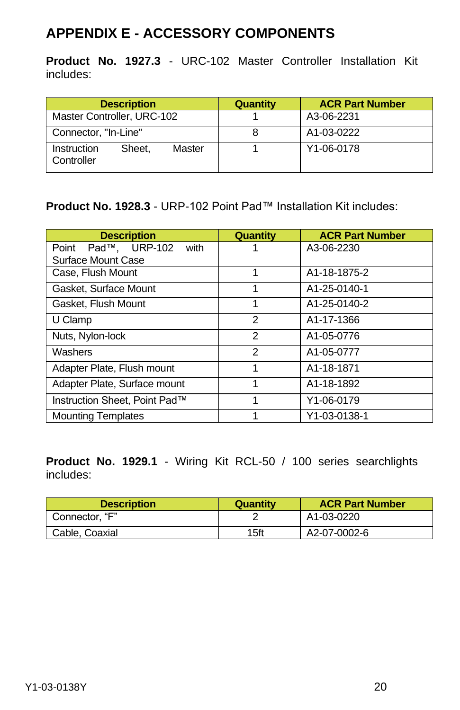### <span id="page-19-0"></span>**APPENDIX E - ACCESSORY COMPONENTS**

**Product No. 1927.3** - URC-102 Master Controller Installation Kit includes:

|                            | <b>Description</b> |        | Quantity | <b>ACR Part Number</b> |
|----------------------------|--------------------|--------|----------|------------------------|
| Master Controller, URC-102 |                    |        |          | A3-06-2231             |
| Connector, "In-Line"       |                    |        | 8        | A1-03-0222             |
| Instruction<br>Controller  | Sheet.             | Master |          | Y1-06-0178             |

**Product No. 1928.3** - URP-102 Point Pad™ Installation Kit includes:

| <b>Description</b>             | <b>Quantity</b> | <b>ACR Part Number</b> |
|--------------------------------|-----------------|------------------------|
| Pad™. URP-102<br>with<br>Point |                 | A3-06-2230             |
| Surface Mount Case             |                 |                        |
| Case, Flush Mount              | 1               | A1-18-1875-2           |
| Gasket, Surface Mount          | 1               | A1-25-0140-1           |
| Gasket, Flush Mount            | 1               | A1-25-0140-2           |
| U Clamp                        | 2               | A1-17-1366             |
| Nuts, Nylon-lock               | 2               | A1-05-0776             |
| Washers                        | $\overline{2}$  | A1-05-0777             |
| Adapter Plate, Flush mount     | 1               | A1-18-1871             |
| Adapter Plate, Surface mount   | 1               | A1-18-1892             |
| Instruction Sheet. Point Pad™  | 1               | Y1-06-0179             |
| <b>Mounting Templates</b>      |                 | Y1-03-0138-1           |

**Product No. 1929.1** - Wiring Kit RCL-50 / 100 series searchlights includes:

| <b>Description</b> | Quantity | <b>ACR Part Number</b> |
|--------------------|----------|------------------------|
| Connector. "F"     |          | A1-03-0220             |
| Cable, Coaxial     | 15ft     | A2-07-0002-6           |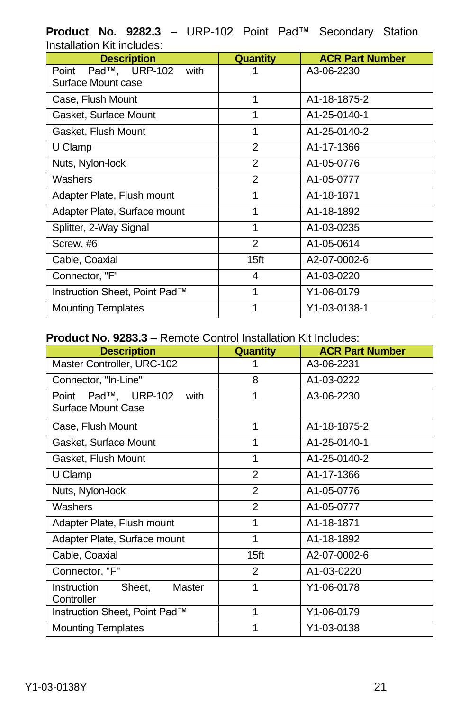**Product No. 9282.3 –** URP-102 Point Pad™ Secondary Station Installation Kit includes:

| <b>Description</b>                                | Quantity         | <b>ACR Part Number</b> |
|---------------------------------------------------|------------------|------------------------|
| Point Pad™, URP-102<br>with<br>Surface Mount case |                  | A3-06-2230             |
| Case, Flush Mount                                 | 1                | A1-18-1875-2           |
| Gasket, Surface Mount                             | 1                | A1-25-0140-1           |
| Gasket, Flush Mount                               | 1                | A1-25-0140-2           |
| U Clamp                                           | 2                | A1-17-1366             |
| Nuts, Nylon-lock                                  | 2                | A1-05-0776             |
| Washers                                           | 2                | A1-05-0777             |
| Adapter Plate, Flush mount                        | 1                | A1-18-1871             |
| Adapter Plate, Surface mount                      | 1                | A1-18-1892             |
| Splitter, 2-Way Signal                            | 1                | A1-03-0235             |
| Screw, #6                                         | 2                | A1-05-0614             |
| Cable, Coaxial                                    | 15 <sub>ft</sub> | A2-07-0002-6           |
| Connector, "F"                                    | 4                | A1-03-0220             |
| Instruction Sheet, Point Pad™                     | 1                | Y1-06-0179             |
| <b>Mounting Templates</b>                         | 1                | Y1-03-0138-1           |

#### **Product No. 9283.3 –** Remote Control Installation Kit Includes:

| <b>Description</b>                                | <b>Quantity</b>  | <b>ACR Part Number</b> |
|---------------------------------------------------|------------------|------------------------|
| Master Controller, URC-102                        |                  | A3-06-2231             |
| Connector, "In-Line"                              | 8                | A1-03-0222             |
| Point Pad™, URP-102<br>with<br>Surface Mount Case | 1                | A3-06-2230             |
| Case, Flush Mount                                 | 1                | A1-18-1875-2           |
| Gasket, Surface Mount                             | 1                | A1-25-0140-1           |
| Gasket, Flush Mount                               | 1                | A1-25-0140-2           |
| U Clamp                                           | $\overline{2}$   | A1-17-1366             |
| Nuts, Nylon-lock                                  | $\overline{2}$   | A1-05-0776             |
| Washers                                           | $\mathfrak{p}$   | A1-05-0777             |
| Adapter Plate, Flush mount                        | 1                | A1-18-1871             |
| Adapter Plate, Surface mount                      | 1                | A1-18-1892             |
| Cable, Coaxial                                    | 15 <sup>ft</sup> | A2-07-0002-6           |
| Connector, "F"                                    | $\mathcal{P}$    | A1-03-0220             |
| Master<br>Instruction<br>Sheet,<br>Controller     | 1                | Y1-06-0178             |
| Instruction Sheet, Point Pad™                     | 1                | Y1-06-0179             |
| <b>Mounting Templates</b>                         | 1                | Y1-03-0138             |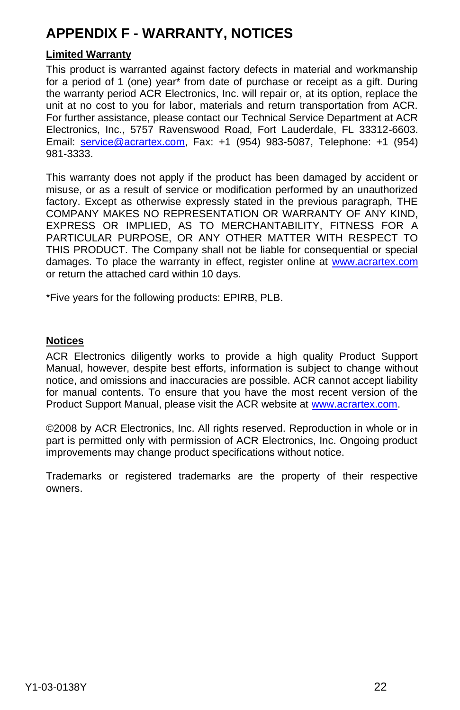# <span id="page-21-0"></span>**APPENDIX F - WARRANTY, NOTICES**

#### **Limited Warranty**

This product is warranted against factory defects in material and workmanship for a period of 1 (one) year\* from date of purchase or receipt as a gift. During the warranty period ACR Electronics, Inc. will repair or, at its option, replace the unit at no cost to you for labor, materials and return transportation from ACR. For further assistance, please contact our Technical Service Department at ACR Electronics, Inc., 5757 Ravenswood Road, Fort Lauderdale, FL 33312-6603. Email: service@acrartex.com, Fax: +1 (954) 983-5087, Telephone: +1 (954) 981-3333.

This warranty does not apply if the product has been damaged by accident or misuse, or as a result of service or modification performed by an unauthorized factory. Except as otherwise expressly stated in the previous paragraph, THE COMPANY MAKES NO REPRESENTATION OR WARRANTY OF ANY KIND, EXPRESS OR IMPLIED, AS TO MERCHANTABILITY, FITNESS FOR A PARTICULAR PURPOSE, OR ANY OTHER MATTER WITH RESPECT TO THIS PRODUCT. The Company shall not be liable for consequential or special damages. To place the warranty in effect, register online at www.acrartex.com or return the attached card within 10 days.

\*Five years for the following products: EPIRB, PLB.

#### **Notices**

ACR Electronics diligently works to provide a high quality Product Support Manual, however, despite best efforts, information is subject to change without notice, and omissions and inaccuracies are possible. ACR cannot accept liability for manual contents. To ensure that you have the most recent version of the Product Support Manual, please visit the ACR website at [www.acrartex.com.](http://www.acrartex.com/)

©2008 by ACR Electronics, Inc. All rights reserved. Reproduction in whole or in part is permitted only with permission of ACR Electronics, Inc. Ongoing product improvements may change product specifications without notice.

Trademarks or registered trademarks are the property of their respective owners.